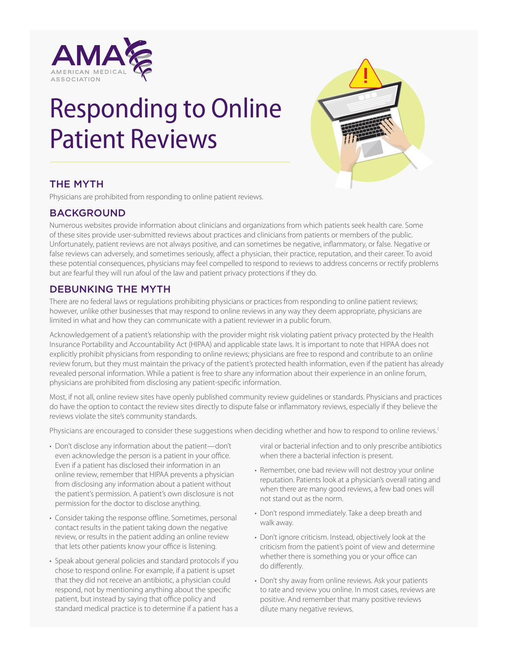

# Responding to Online Patient Reviews



## THE MYTH

Physicians are prohibited from responding to online patient reviews.

#### BACKGROUND

Numerous websites provide information about clinicians and organizations from which patients seek health care. Some of these sites provide user-submitted reviews about practices and clinicians from patients or members of the public. Unfortunately, patient reviews are not always positive, and can sometimes be negative, inflammatory, or false. Negative or false reviews can adversely, and sometimes seriously, affect a physician, their practice, reputation, and their career. To avoid these potential consequences, physicians may feel compelled to respond to reviews to address concerns or rectify problems but are fearful they will run afoul of the law and patient privacy protections if they do.

### DEBUNKING THE MYTH

There are no federal laws or regulations prohibiting physicians or practices from responding to online patient reviews; however, unlike other businesses that may respond to online reviews in any way they deem appropriate, physicians are limited in what and how they can communicate with a patient reviewer in a public forum.

Acknowledgement of a patient's relationship with the provider might risk violating patient privacy protected by the Health Insurance Portability and Accountability Act (HIPAA) and applicable state laws. It is important to note that HIPAA does not explicitly prohibit physicians from responding to online reviews; physicians are free to respond and contribute to an online review forum, but they must maintain the privacy of the patient's protected health information, even if the patient has already revealed personal information. While a patient is free to share any information about their experience in an online forum, physicians are prohibited from disclosing any patient-specific information.

Most, if not all, online review sites have openly published community review guidelines or standards. Physicians and practices do have the option to contact the review sites directly to dispute false or inflammatory reviews, especially if they believe the reviews violate the site's community standards.

Physicians are encouraged to consider these suggestions when deciding whether and how to respond to online reviews.<sup>1</sup>

- Don't disclose any information about the patient—don't even acknowledge the person is a patient in your office. Even if a patient has disclosed their information in an online review, remember that HIPAA prevents a physician from disclosing any information about a patient without the patient's permission. A patient's own disclosure is not permission for the doctor to disclose anything.
- Consider taking the response offline. Sometimes, personal contact results in the patient taking down the negative review, or results in the patient adding an online review that lets other patients know your office is listening.
- Speak about general policies and standard protocols if you chose to respond online. For example, if a patient is upset that they did not receive an antibiotic, a physician could respond, not by mentioning anything about the specific patient, but instead by saying that office policy and standard medical practice is to determine if a patient has a

viral or bacterial infection and to only prescribe antibiotics when there a bacterial infection is present.

- Remember, one bad review will not destroy your online reputation. Patients look at a physician's overall rating and when there are many good reviews, a few bad ones will not stand out as the norm.
- Don't respond immediately. Take a deep breath and walk away.
- Don't ignore criticism. Instead, objectively look at the criticism from the patient's point of view and determine whether there is something you or your office can do differently.
- Don't shy away from online reviews. Ask your patients to rate and review you online. In most cases, reviews are positive. And remember that many positive reviews dilute many negative reviews.